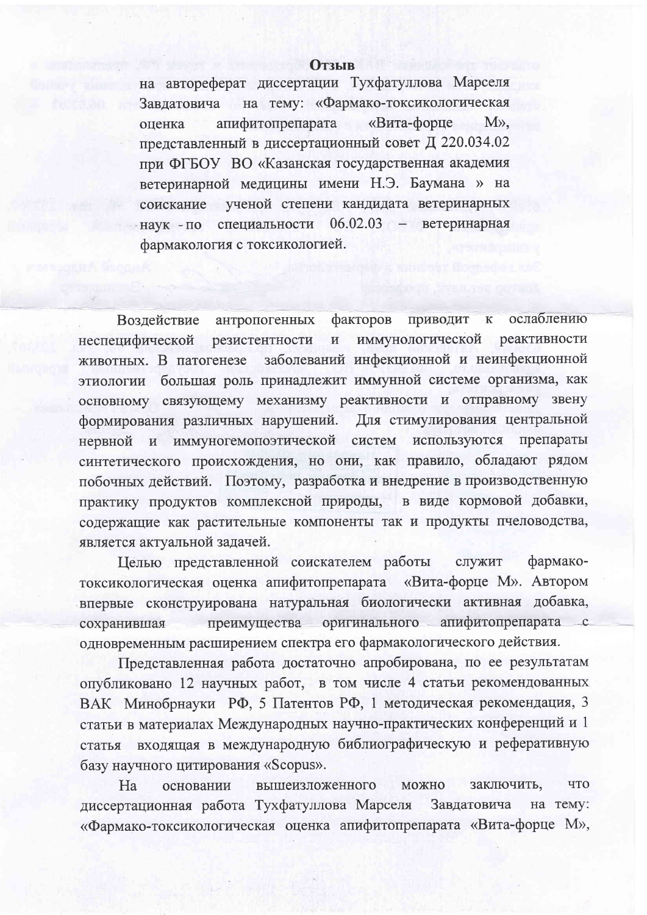## **Отзыв**

на автореферат диссертации Тухфатуллова Марселя на тему: «Фармако-токсикологическая Завлатовича апифитопрепарата «Вита-форце  $M\lambda$ . оценка представленный в диссертационный совет Д 220.034.02 при ФГБОУ ВО «Казанская государственная академия ветеринарной медицины имени Н.Э. Баумана » на соискание ученой степени кандидата ветеринарных наук - по специальности 06.02.03 - ветеринарная фармакология с токсикологией.

факторов приводит ослаблению Воздействие антропогенных  $\mathbf{K}$ резистентности  $\overline{M}$ иммунологической реактивности неспецифической заболеваний инфекционной и неинфекционной животных. В патогенезе этиологии большая роль принадлежит иммунной системе организма, как основному связующему механизму реактивности и отправному звену формирования различных нарушений. Для стимулирования центральной используются препараты нервной и иммуногемопоэтической систем синтетического происхождения, но они, как правило, обладают рядом побочных действий. Поэтому, разработка и внедрение в производственную практику продуктов комплексной природы, в виде кормовой добавки, содержащие как растительные компоненты так и продукты пчеловодства, является актуальной задачей.

Целью представленной соискателем работы служит фармакотоксикологическая оценка апифитопрепарата «Вита-форце М». Автором впервые сконструирована натуральная биологически активная добавка, преимущества оригинального апифитопрепарата с сохранившая одновременным расширением спектра его фармакологического действия.

Представленная работа достаточно апробирована, по ее результатам опубликовано 12 научных работ, в том числе 4 статьи рекомендованных ВАК Минобрнауки РФ, 5 Патентов РФ, 1 методическая рекомендация, 3 статьи в материалах Международных научно-практических конференций и 1 статья входящая в международную библиографическую и реферативную базу научного цитирования «Scopus».

**ЧТО** Ha вышеизложенного **МОЖНО** заключить, основании диссертационная работа Тухфатуллова Марселя Завдатовича на тему: «Фармако-токсикологическая оценка апифитопрепарата «Вита-форце М»,